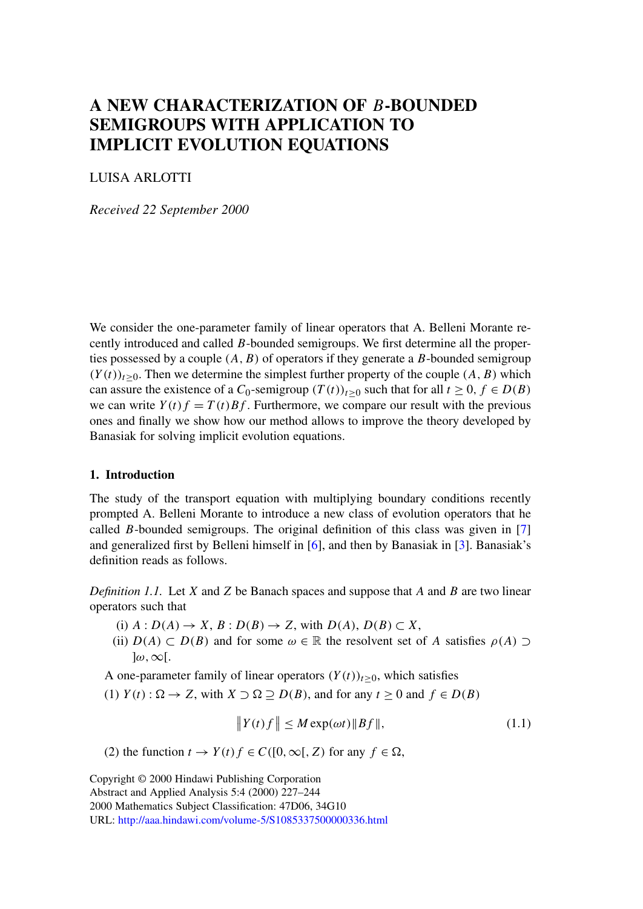# <span id="page-0-0"></span>**A NEW CHARACTERIZATION OF** B**-BOUNDED SEMIGROUPS WITH APPLICATION TO IMPLICIT EVOLUTION EQUATIONS**

# LUISA ARLOTTI

*Received 22 September 2000*

We consider the one-parameter family of linear operators that A. Belleni Morante recently introduced and called B-bounded semigroups. We first determine all the properties possessed by a couple  $(A, B)$  of operators if they generate a B-bounded semigroup  $(Y(t))_{t>0}$ . Then we determine the simplest further property of the couple  $(A, B)$  which can assure the existence of a  $C_0$ -semigroup  $(T(t))_{t\geq0}$  such that for all  $t\geq0, f\in D(B)$ we can write  $Y(t) f = T(t)Bf$ . Furthermore, we compare our result with the previous ones and finally we show how our method allows to improve the theory developed by Banasiak for solving implicit evolution equations.

## **1. Introduction**

The study of the transport equation with multiplying boundary conditions recently prompted A. Belleni Morante to introduce a new class of evolution operators that he called B-bounded semigroups. The original definition of this class was given in  $[7]$ and generalized first by Belleni himself in [\[6\]](#page-15-0), and then by Banasiak in [\[3\]](#page-15-0). Banasiak's definition reads as follows.

*Definition 1.1.* Let X and Z be Banach spaces and suppose that A and B are two linear operators such that

- (i)  $A: D(A) \rightarrow X$ ,  $B: D(B) \rightarrow Z$ , with  $D(A)$ ,  $D(B) \subset X$ ,
- (ii)  $D(A) \subset D(B)$  and for some  $\omega \in \mathbb{R}$  the resolvent set of A satisfies  $\rho(A) \supset$  $\omega$ ,  $\infty$ [.

A one-parameter family of linear operators  $(Y(t))_{t\geq0}$ , which satisfies

(1)  $Y(t)$ :  $\Omega \rightarrow Z$ , with  $X \supset \Omega \supseteq D(B)$ , and for any  $t \geq 0$  and  $f \in D(B)$ 

$$
\|Y(t)f\| \le M \exp(\omega t) \|Bf\|,\tag{1.1}
$$

(2) the function  $t \to Y(t) f \in C([0,\infty[, Z)$  for any  $f \in \Omega$ ,

Copyright © 2000 Hindawi Publishing Corporation Abstract and Applied Analysis 5:4 (2000) 227–244 2000 Mathematics Subject Classification: 47D06, 34G10 URL: <http://aaa.hindawi.com/volume-5/S1085337500000336.html>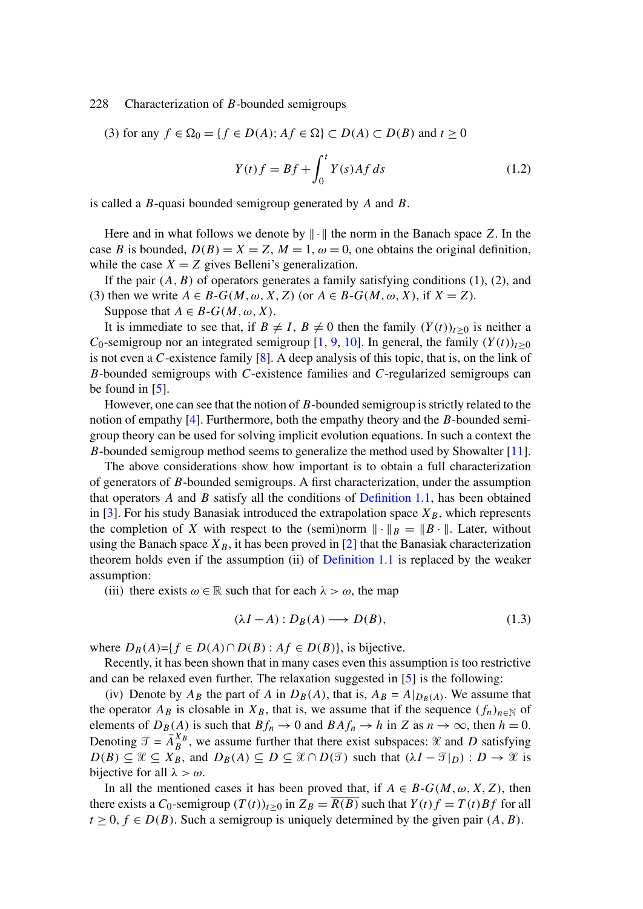(3) for any  $f \in \Omega_0 = \{f \in D(A); Af \in \Omega\} \subset D(A) \subset D(B)$  and  $t \ge 0$ 

$$
Y(t)f = Bf + \int_0^t Y(s)Af \, ds \tag{1.2}
$$

is called a B-quasi bounded semigroup generated by A and B.

Here and in what follows we denote by  $\|\cdot\|$  the norm in the Banach space Z. In the case B is bounded,  $D(B) = X = Z$ ,  $M = 1$ ,  $\omega = 0$ , one obtains the original definition, while the case  $X = Z$  gives Belleni's generalization.

If the pair  $(A, B)$  of operators generates a family satisfying conditions  $(1)$ ,  $(2)$ , and (3) then we write  $A \in B-G(M, \omega, X, Z)$  (or  $A \in B-G(M, \omega, X)$ , if  $X = Z$ ).

Suppose that  $A \in B-G(M, \omega, X)$ .

It is immediate to see that, if  $B \neq I$ ,  $B \neq 0$  then the family  $(Y(t))_{t>0}$  is neither a C<sub>0</sub>-semigroup nor an integrated semigroup [\[1,](#page-15-0) [9,](#page-16-0) [10\]](#page-16-0). In general, the family  $(Y(t))_{t>0}$ is not even a C-existence family [\[8\]](#page-15-0). A deep analysis of this topic, that is, on the link of B-bounded semigroups with C-existence families and C-regularized semigroups can be found in  $[5]$ .

However, one can see that the notion of B-bounded semigroup is strictly related to the notion of empathy [\[4\]](#page-15-0). Furthermore, both the empathy theory and the B-bounded semigroup theory can be used for solving implicit evolution equations. In such a context the B-bounded semigroup method seems to generalize the method used by Showalter [\[11\]](#page-16-0).

The above considerations show how important is to obtain a full characterization of generators of B-bounded semigroups. A first characterization, under the assumption that operators  $\vec{A}$  and  $\vec{B}$  satisfy all the conditions of [Definition 1.1,](#page-0-0) has been obtained in [\[3\]](#page-15-0). For his study Banasiak introduced the extrapolation space  $X_B$ , which represents the completion of X with respect to the (semi)norm  $\|\cdot\|_B = \|B\cdot\|$ . Later, without using the Banach space  $X_B$ , it has been proved in [\[2\]](#page-15-0) that the Banasiak characterization theorem holds even if the assumption (ii) of [Definition 1.1](#page-0-0) is replaced by the weaker assumption:

(iii) there exists  $\omega \in \mathbb{R}$  such that for each  $\lambda > \omega$ , the map

$$
(\lambda I - A) : D_B(A) \longrightarrow D(B), \tag{1.3}
$$

where  $D_B(A)=\{f \in D(A) \cap D(B) : Af \in D(B)\}$ , is bijective.

Recently, it has been shown that in many cases even this assumption is too restrictive and can be relaxed even further. The relaxation suggested in [\[5\]](#page-15-0) is the following:

(iv) Denote by  $A_B$  the part of A in  $D_B(A)$ , that is,  $A_B = A|_{D_B(A)}$ . We assume that the operator  $A_B$  is closable in  $X_B$ , that is, we assume that if the sequence  $(f_n)_{n\in\mathbb{N}}$  of elements of  $D_B(A)$  is such that  $Bf_n \to 0$  and  $BAf_n \to h$  in Z as  $n \to \infty$ , then  $h = 0$ . Denoting  $\mathcal{T} = \overline{A}_{B}^{X_{B}}$ , we assume further that there exist subspaces:  $\mathcal{X}$  and  $D$  satisfying  $D(B) \subseteq \mathcal{X} \subseteq X_B$ , and  $D_B(A) \subseteq D \subseteq \mathcal{X} \cap D(\mathcal{T})$  such that  $(\lambda I - \mathcal{T}|_D) : D \to \mathcal{X}$  is bijective for all  $\lambda > \omega$ .

In all the mentioned cases it has been proved that, if  $A \in B-G(M, \omega, X, Z)$ , then there exists a  $C_0$ -semigroup  $(T(t))_{t>0}$  in  $Z_B = \overline{R(B)}$  such that  $Y(t)f = T(t)Bf$  for all  $t \geq 0, f \in D(B)$ . Such a semigroup is uniquely determined by the given pair  $(A, B)$ .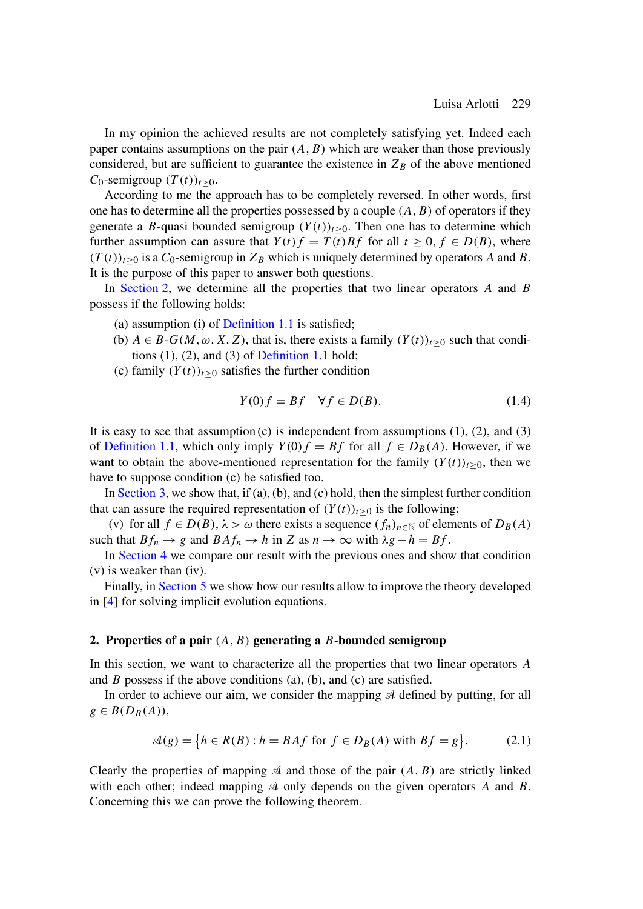<span id="page-2-0"></span>In my opinion the achieved results are not completely satisfying yet. Indeed each paper contains assumptions on the pair  $(A, B)$  which are weaker than those previously considered, but are sufficient to guarantee the existence in  $Z_B$  of the above mentioned  $C_0$ -semigroup  $(T(t))_{t>0}$ .

According to me the approach has to be completely reversed. In other words, first one has to determine all the properties possessed by a couple  $(A, B)$  of operators if they generate a B-quasi bounded semigroup  $(Y(t))_{t>0}$ . Then one has to determine which further assumption can assure that  $Y(t)f = T(t)Bf$  for all  $t \ge 0, f \in D(B)$ , where  $(T(t))_{t>0}$  is a  $C_0$ -semigroup in  $Z_B$  which is uniquely determined by operators A and B. It is the purpose of this paper to answer both questions.

In Section 2, we determine all the properties that two linear operators  $A$  and  $B$ possess if the following holds:

- (a) assumption (i) of [Definition 1.1](#page-0-0) is satisfied;
- (b)  $A \in B-G(M, \omega, X, Z)$ , that is, there exists a family  $(Y(t))_{t\geq 0}$  such that conditions  $(1)$ ,  $(2)$ , and  $(3)$  of [Definition 1.1](#page-0-0) hold;
- (c) family  $(Y(t))_{t\geq0}$  satisfies the further condition

$$
Y(0)f = Bf \quad \forall f \in D(B). \tag{1.4}
$$

It is easy to see that assumption  $(c)$  is independent from assumptions  $(1)$ ,  $(2)$ , and  $(3)$ of [Definition 1.1,](#page-0-0) which only imply  $Y(0) f = Bf$  for all  $f \in D_B(A)$ . However, if we want to obtain the above-mentioned representation for the family  $(Y(t))_{t>0}$ , then we have to suppose condition (c) be satisfied too.

In [Section 3,](#page-5-0) we show that, if (a), (b), and (c) hold, then the simplest further condition that can assure the required representation of  $(Y(t))_{t>0}$  is the following:

(v) for all  $f \in D(B)$ ,  $\lambda > \omega$  there exists a sequence  $(f_n)_{n \in \mathbb{N}}$  of elements of  $D_B(A)$ such that  $Bf_n \to g$  and  $BAf_n \to h$  in Z as  $n \to \infty$  with  $\lambda g - h = Bf$ .

In [Section 4](#page-10-0) we compare our result with the previous ones and show that condition (v) is weaker than (iv).

Finally, in [Section 5](#page-12-0) we show how our results allow to improve the theory developed in [\[4\]](#page-15-0) for solving implicit evolution equations.

#### **2. Properties of a pair** (A,B) **generating a** B**-bounded semigroup**

In this section, we want to characterize all the properties that two linear operators A and B possess if the above conditions (a), (b), and (c) are satisfied.

In order to achieve our aim, we consider the mapping  $A$  defined by putting, for all  $g \in B(D_B(A)),$ 

$$
\mathcal{A}(g) = \{ h \in R(B) : h = BA f \text{ for } f \in D_B(A) \text{ with } Bf = g \}. \tag{2.1}
$$

Clearly the properties of mapping  $\mathcal A$  and those of the pair  $(A, B)$  are strictly linked with each other; indeed mapping  $\mathcal A$  only depends on the given operators A and B. Concerning this we can prove the following theorem.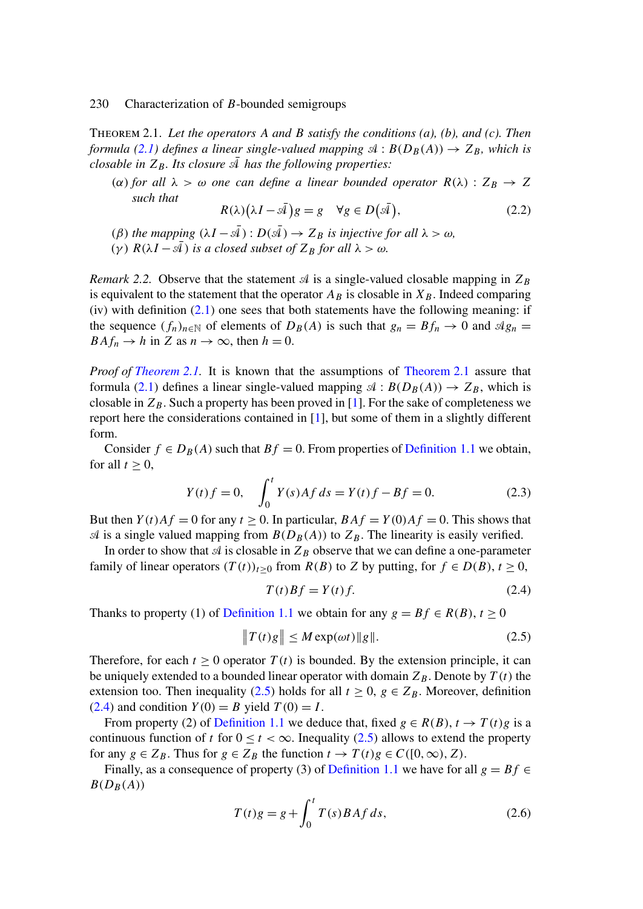<span id="page-3-0"></span>Theorem 2.1. *Let the operators* A *and* B *satisfy the conditions (a), (b), and (c). Then formula* [\(2.1\)](#page-2-0) *defines a linear single-valued mapping*  $\mathcal{A}: B(D_B(A)) \to Z_B$ *, which is closable in*  $Z_B$ *. Its closure*  $\overline{A}$  *has the following properties:* 

(α) for all  $\lambda > \omega$  one can define a linear bounded operator  $R(\lambda)$  :  $Z_B \rightarrow Z$ *such that*

$$
R(\lambda)\big(\lambda I - \bar{\mathcal{A}}\big)g = g \quad \forall g \in D(\bar{\mathcal{A}}),\tag{2.2}
$$

(β) the mapping  $(\lambda I - \overline{A}) : D(\overline{A}) \to Z_B$  is injective for all  $\lambda > \omega$ , (γ)  $R(\lambda I - \mathcal{A})$  *is a closed subset of*  $Z_B$  *for all*  $\lambda > \omega$ *.* 

*Remark 2.2.* Observe that the statement  $\mathcal A$  is a single-valued closable mapping in  $Z_B$ is equivalent to the statement that the operator  $A_B$  is closable in  $X_B$ . Indeed comparing  $(iv)$  with definition  $(2.1)$  one sees that both statements have the following meaning: if the sequence  $(f_n)_{n\in\mathbb{N}}$  of elements of  $D_B(A)$  is such that  $g_n = Bf_n \to 0$  and  $\mathcal{A}g_n =$  $BAf_n \to h$  in Z as  $n \to \infty$ , then  $h = 0$ .

*Proof of [Theorem 2.1.](#page-2-0)* It is known that the assumptions of [Theorem 2.1](#page-2-0) assure that formula [\(2.1\)](#page-2-0) defines a linear single-valued mapping  $\mathcal{A}: B(D_B(A)) \to Z_B$ , which is closable in  $Z_B$ . Such a property has been proved in [\[1\]](#page-15-0). For the sake of completeness we report here the considerations contained in [\[1\]](#page-15-0), but some of them in a slightly different form.

Consider  $f \in D_B(A)$  such that  $Bf = 0$ . From properties of [Definition 1.1](#page-0-0) we obtain, for all  $t \geq 0$ ,

$$
Y(t)f = 0, \quad \int_0^t Y(s)Af \, ds = Y(t)f - Bf = 0. \tag{2.3}
$$

But then  $Y(t)Af = 0$  for any  $t \ge 0$ . In particular,  $BAf = Y(0)Af = 0$ . This shows that  $\mathcal A$  is a single valued mapping from  $B(D_B(A))$  to  $Z_B$ . The linearity is easily verified.

In order to show that  $\mathcal A$  is closable in  $Z_B$  observe that we can define a one-parameter family of linear operators  $(T(t))_{t\geq0}$  from  $R(B)$  to Z by putting, for  $f \in D(B)$ ,  $t \geq 0$ ,

$$
T(t)Bf = Y(t)f.
$$
\n(2.4)

Thanks to property (1) of [Definition 1.1](#page-0-0) we obtain for any  $g = Bf \in R(B), t \ge 0$ 

$$
||T(t)g|| \le M \exp(\omega t) ||g||. \tag{2.5}
$$

Therefore, for each  $t \ge 0$  operator  $T(t)$  is bounded. By the extension principle, it can be uniquely extended to a bounded linear operator with domain  $Z_B$ . Denote by  $T(t)$  the extension too. Then inequality (2.5) holds for all  $t \geq 0$ ,  $g \in Z_B$ . Moreover, definition  $(2.4)$  and condition  $Y(0) = B$  yield  $T(0) = I$ .

From property (2) of [Definition 1.1](#page-0-0) we deduce that, fixed  $g \in R(B)$ ,  $t \to T(t)g$  is a continuous function of t for  $0 \le t < \infty$ . Inequality (2.5) allows to extend the property for any  $g \in Z_B$ . Thus for  $g \in Z_B$  the function  $t \to T(t)g \in C([0,\infty), Z)$ .

Finally, as a consequence of property (3) of [Definition 1.1](#page-0-0) we have for all  $g = Bf \in$  $B(D_B(A))$ 

$$
T(t)g = g + \int_0^t T(s)BAf ds,
$$
\n(2.6)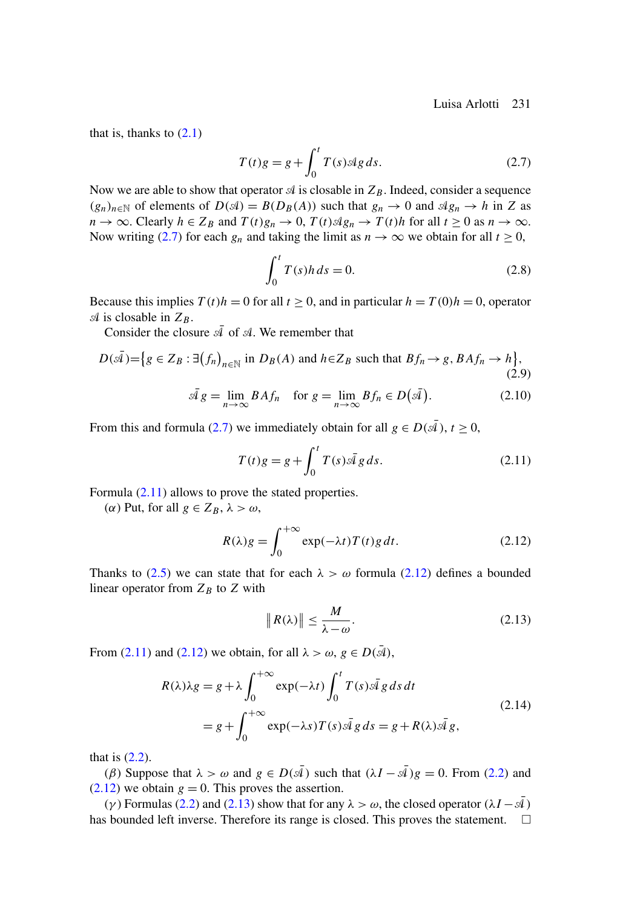<span id="page-4-0"></span>that is, thanks to  $(2.1)$ 

$$
T(t)g = g + \int_0^t T(s) \mathcal{A}g \, ds. \tag{2.7}
$$

Now we are able to show that operator  $\mathcal A$  is closable in  $Z_B$ . Indeed, consider a sequence  $(g_n)_{n\in\mathbb{N}}$  of elements of  $D(\mathcal{A}) = B(D_B(A))$  such that  $g_n \to 0$  and  $\mathcal{A}g_n \to h$  in Z as  $n \to \infty$ . Clearly  $h \in Z_B$  and  $T(t)g_n \to 0$ ,  $T(t) \triangleleft g_n \to T(t)h$  for all  $t \ge 0$  as  $n \to \infty$ . Now writing (2.7) for each  $g_n$  and taking the limit as  $n \to \infty$  we obtain for all  $t \ge 0$ ,

$$
\int_0^t T(s)h ds = 0.
$$
\n(2.8)

Because this implies  $T(t)h = 0$  for all  $t \ge 0$ , and in particular  $h = T(0)h = 0$ , operator  $\mathcal A$  is closable in  $Z_B$ .

Consider the closure  $\overline{\mathcal{A}}$  of  $\mathcal{A}$ . We remember that

$$
D(\bar{\mathcal{A}}) = \{ g \in Z_B : \exists (f_n)_{n \in \mathbb{N}} \text{ in } D_B(A) \text{ and } h \in Z_B \text{ such that } Bf_n \to g, BAf_n \to h \},\tag{2.9}
$$

$$
\bar{\mathcal{A}}g = \lim_{n \to \infty} BA f_n \quad \text{for } g = \lim_{n \to \infty} B f_n \in D(\bar{\mathcal{A}}). \tag{2.10}
$$

From this and formula (2.7) we immediately obtain for all  $g \in D(\bar{A})$ ,  $t \ge 0$ ,

$$
T(t)g = g + \int_0^t T(s)\bar{A}g \, ds. \tag{2.11}
$$

Formula (2.11) allows to prove the stated properties.

(α) Put, for all  $g$  ∈  $Z_B$ ,  $λ > ω$ ,

$$
R(\lambda)g = \int_0^{+\infty} \exp(-\lambda t) T(t)g dt.
$$
 (2.12)

Thanks to [\(2.5\)](#page-3-0) we can state that for each  $\lambda > \omega$  formula (2.12) defines a bounded linear operator from  $Z_B$  to  $Z$  with

$$
\|R(\lambda)\| \le \frac{M}{\lambda - \omega}.\tag{2.13}
$$

From (2.11) and (2.12) we obtain, for all  $\lambda > \omega$ ,  $g \in D(\bar{\mathcal{A}})$ ,

$$
R(\lambda)\lambda g = g + \lambda \int_0^{+\infty} \exp(-\lambda t) \int_0^t T(s)\bar{d}g \, ds \, dt
$$
  
=  $g + \int_0^{+\infty} \exp(-\lambda s)T(s)\bar{d}g \, ds = g + R(\lambda)\bar{d}g,$  (2.14)

that is  $(2.2)$ .

(β) Suppose that  $\lambda > \omega$  and  $g \in D(\bar{A})$  such that  $(\lambda I - \bar{A})g = 0$ . From [\(2.2\)](#page-3-0) and  $(2.12)$  we obtain  $g = 0$ . This proves the assertion.

(γ) Formulas [\(2.2\)](#page-3-0) and (2.13) show that for any  $\lambda > \omega$ , the closed operator ( $\lambda I - \mathcal{A}$ ) has bounded left inverse. Therefore its range is closed. This proves the statement.  $\square$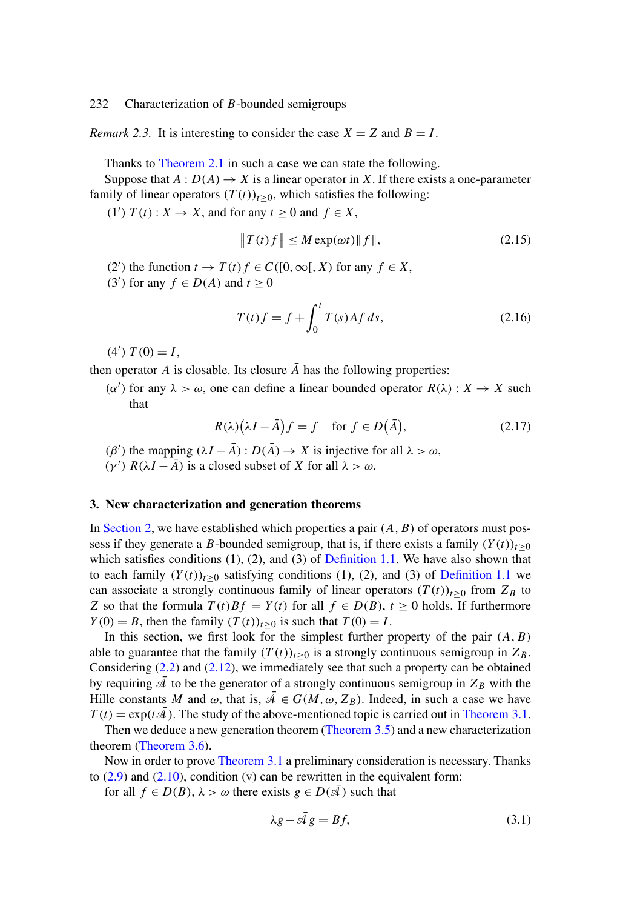<span id="page-5-0"></span>*Remark 2.3.* It is interesting to consider the case  $X = Z$  and  $B = I$ .

Thanks to [Theorem 2.1](#page-2-0) in such a case we can state the following.

Suppose that  $A: D(A) \to X$  is a linear operator in X. If there exists a one-parameter family of linear operators  $(T(t))_{t>0}$ , which satisfies the following:

(1')  $T(t)$  :  $X \to X$ , and for any  $t \ge 0$  and  $f \in X$ ,

$$
||T(t)f|| \le M \exp(\omega t) ||f||, \qquad (2.15)
$$

(2') the function  $t \to T(t) f \in C([0,\infty[, X)$  for any  $f \in X$ ,

(3') for any  $f \in D(A)$  and  $t \ge 0$ 

$$
T(t)f = f + \int_0^t T(s)Af ds,
$$
\n(2.16)

 $(4') T(0) = I,$ 

then operator A is closable. Its closure  $\overline{A}$  has the following properties:

(α') for any  $\lambda > \omega$ , one can define a linear bounded operator  $R(\lambda) : X \to X$  such that

$$
R(\lambda)(\lambda I - \bar{A})f = f \quad \text{for } f \in D(\bar{A}), \tag{2.17}
$$

 $(\beta')$  the mapping  $(\lambda I - \overline{A}) : D(\overline{A}) \to X$  is injective for all  $\lambda > \omega$ ,

(γ')  $R(\lambda I - \overline{A})$  is a closed subset of X for all  $\lambda > ω$ .

## **3. New characterization and generation theorems**

In [Section 2,](#page-2-0) we have established which properties a pair  $(A, B)$  of operators must possess if they generate a B-bounded semigroup, that is, if there exists a family  $(Y(t))_{t\geq 0}$ which satisfies conditions  $(1)$ ,  $(2)$ , and  $(3)$  of [Definition 1.1.](#page-0-0) We have also shown that to each family  $(Y(t))_{t>0}$  satisfying conditions (1), (2), and (3) of [Definition 1.1](#page-0-0) we can associate a strongly continuous family of linear operators  $(T(t))_{t\geq0}$  from  $Z_B$  to Z so that the formula  $T(t)Bf = Y(t)$  for all  $f \in D(B)$ ,  $t \ge 0$  holds. If furthermore  $Y(0) = B$ , then the family  $(T(t))_{t>0}$  is such that  $T(0) = I$ .

In this section, we first look for the simplest further property of the pair  $(A, B)$ able to guarantee that the family  $(T(t))_{t>0}$  is a strongly continuous semigroup in  $Z_B$ . Considering [\(2.2\)](#page-3-0) and [\(2.12\)](#page-4-0), we immediately see that such a property can be obtained by requiring  $\overline{A}$  to be the generator of a strongly continuous semigroup in  $Z_B$  with the Hille constants M and  $\omega$ , that is,  $\overline{A} \in G(M, \omega, Z_B)$ . Indeed, in such a case we have  $T(t) = \exp(t\bar{A})$ . The study of the above-mentioned topic is carried out in [Theorem 3.1.](#page-6-0)

Then we deduce a new generation theorem [\(Theorem 3.5\)](#page-9-0) and a new characterization theorem [\(Theorem 3.6\)](#page-9-0).

Now in order to prove [Theorem 3.1](#page-6-0) a preliminary consideration is necessary. Thanks to  $(2.9)$  and  $(2.10)$ , condition (v) can be rewritten in the equivalent form:

for all  $f \in D(B)$ ,  $\lambda > \omega$  there exists  $g \in D(\overline{A})$  such that

$$
\lambda g - \bar{A} g = Bf,\tag{3.1}
$$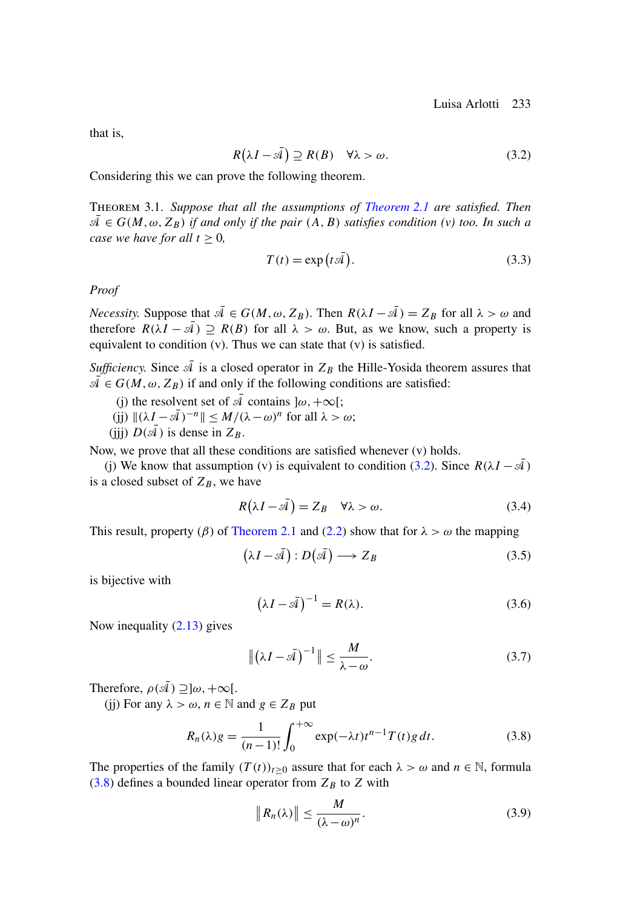<span id="page-6-0"></span>that is,

$$
R(\lambda I - \bar{A}) \supseteq R(B) \quad \forall \lambda > \omega. \tag{3.2}
$$

Considering this we can prove the following theorem.

Theorem 3.1. *Suppose that all the assumptions of [Theorem 2.1](#page-2-0) are satisfied. Then*  $\overline{A} \in G(M, \omega, Z_B)$  *if and only if the pair*  $(A, B)$  *satisfies condition (v) too. In such a case we have for all*  $t > 0$ ,

$$
T(t) = \exp(t\bar{\mathcal{A}}). \tag{3.3}
$$

*Proof*

*Necessity.* Suppose that  $\overline{A} \in G(M, \omega, Z_B)$ . Then  $R(\lambda I - \overline{A}) = Z_B$  for all  $\lambda > \omega$  and therefore  $R(\lambda I - \overline{A}) \supseteq R(B)$  for all  $\lambda > \omega$ . But, as we know, such a property is equivalent to condition (v). Thus we can state that (v) is satisfied.

*Sufficiency.* Since  $\overline{A}$  is a closed operator in  $Z_B$  the Hille-Yosida theorem assures that  $\mathcal{A} \in G(M, \omega, Z_B)$  if and only if the following conditions are satisfied:

- (i) the resolvent set of  $\overline{A}$  contains  $\alpha, +\infty$ [;
- (jj)  $\|(\lambda I \overline{\mathcal{A}})^{-n}\| \leq M/(\lambda \omega)^n$  for all  $\lambda > \omega$ ;
- (iii)  $D(\bar{A})$  is dense in  $Z_B$ .

Now, we prove that all these conditions are satisfied whenever (v) holds.

(j) We know that assumption (v) is equivalent to condition (3.2). Since  $R(\lambda I - \bar{A})$ is a closed subset of  $Z_B$ , we have

$$
R(\lambda I - \bar{\mathcal{A}}) = Z_B \quad \forall \lambda > \omega. \tag{3.4}
$$

This result, property ( $\beta$ ) of [Theorem 2.1](#page-2-0) and [\(2.2\)](#page-3-0) show that for  $\lambda > \omega$  the mapping

$$
(\lambda I - \bar{\mathcal{A}}): D(\bar{\mathcal{A}}) \longrightarrow Z_B \tag{3.5}
$$

is bijective with

$$
\left(\lambda I - \bar{\mathcal{A}}\right)^{-1} = R(\lambda). \tag{3.6}
$$

Now inequality [\(2.13\)](#page-4-0) gives

$$
\left\| \left( \lambda I - s\bar{\mathcal{A}} \right)^{-1} \right\| \le \frac{M}{\lambda - \omega}.
$$
\n(3.7)

Therefore,  $\rho(\bar{\mathcal{A}}) \supset \, ]\omega, +\infty[$ .

(ij) For any  $\lambda > \omega$ ,  $n \in \mathbb{N}$  and  $g \in Z_B$  put

$$
R_n(\lambda)g = \frac{1}{(n-1)!} \int_0^{+\infty} \exp(-\lambda t) t^{n-1} T(t)g dt.
$$
 (3.8)

The properties of the family  $(T(t))_{t\geq 0}$  assure that for each  $\lambda > \omega$  and  $n \in \mathbb{N}$ , formula  $(3.8)$  defines a bounded linear operator from  $Z_B$  to Z with

$$
\|R_n(\lambda)\| \le \frac{M}{(\lambda - \omega)^n}.\tag{3.9}
$$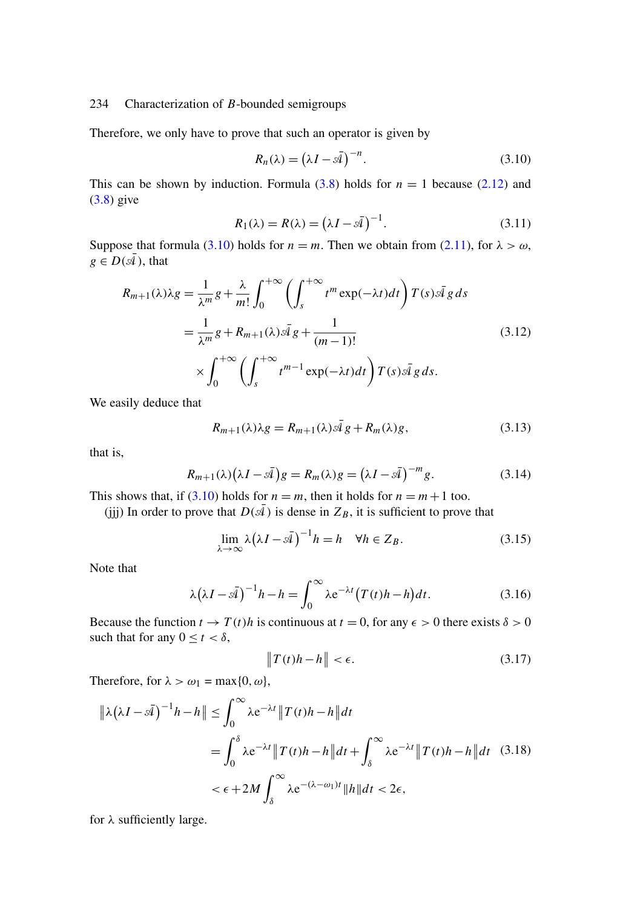Therefore, we only have to prove that such an operator is given by

$$
R_n(\lambda) = (\lambda I - s\bar{\lambda})^{-n}.
$$
\n(3.10)

This can be shown by induction. Formula  $(3.8)$  holds for  $n = 1$  because  $(2.12)$  and [\(3.8\)](#page-6-0) give

$$
R_1(\lambda) = R(\lambda) = (\lambda I - s\overline{4})^{-1}.
$$
\n(3.11)

Suppose that formula (3.10) holds for  $n = m$ . Then we obtain from [\(2.11\)](#page-4-0), for  $\lambda > \omega$ ,  $g \in D(\bar{A})$ , that

$$
R_{m+1}(\lambda)\lambda g = \frac{1}{\lambda^m}g + \frac{\lambda}{m!} \int_0^{+\infty} \left(\int_s^{+\infty} t^m \exp(-\lambda t)dt\right) T(s)\bar{A}g ds
$$
  

$$
= \frac{1}{\lambda^m}g + R_{m+1}(\lambda)\bar{A}g + \frac{1}{(m-1)!}
$$
(3.12)  

$$
\times \int_0^{+\infty} \left(\int_s^{+\infty} t^{m-1} \exp(-\lambda t)dt\right) T(s)\bar{A}g ds.
$$

We easily deduce that

$$
R_{m+1}(\lambda)\lambda g = R_{m+1}(\lambda)\bar{\mathcal{A}}g + R_m(\lambda)g,\tag{3.13}
$$

that is,

$$
R_{m+1}(\lambda)\big(\lambda I - s\overline{4}\big)g = R_m(\lambda)g = \big(\lambda I - s\overline{4}\big)^{-m}g. \tag{3.14}
$$

This shows that, if (3.10) holds for  $n = m$ , then it holds for  $n = m + 1$  too.

(jjj) In order to prove that  $D(\bar{A})$  is dense in  $Z_B$ , it is sufficient to prove that

$$
\lim_{\lambda \to \infty} \lambda (\lambda I - \bar{\mathcal{A}})^{-1} h = h \quad \forall h \in Z_B.
$$
\n(3.15)

Note that

$$
\lambda(\lambda I - s\bar{4})^{-1}h - h = \int_0^\infty \lambda e^{-\lambda t} (T(t)h - h)dt.
$$
 (3.16)

Because the function  $t \to T(t)h$  is continuous at  $t = 0$ , for any  $\epsilon > 0$  there exists  $\delta > 0$ such that for any  $0 \le t < \delta$ ,

$$
\|T(t)h - h\| < \epsilon. \tag{3.17}
$$

Therefore, for  $\lambda > \omega_1 = \max\{0, \omega\},\$ 

$$
\|\lambda(\lambda I - s\overline{4})^{-1}h - h\| \le \int_0^\infty \lambda e^{-\lambda t} \|T(t)h - h\| dt
$$
  
= 
$$
\int_0^\delta \lambda e^{-\lambda t} \|T(t)h - h\| dt + \int_\delta^\infty \lambda e^{-\lambda t} \|T(t)h - h\| dt \quad (3.18)
$$
  

$$
< \epsilon + 2M \int_\delta^\infty \lambda e^{-(\lambda - \omega_1)t} \|h\| dt < 2\epsilon,
$$

for  $\lambda$  sufficiently large.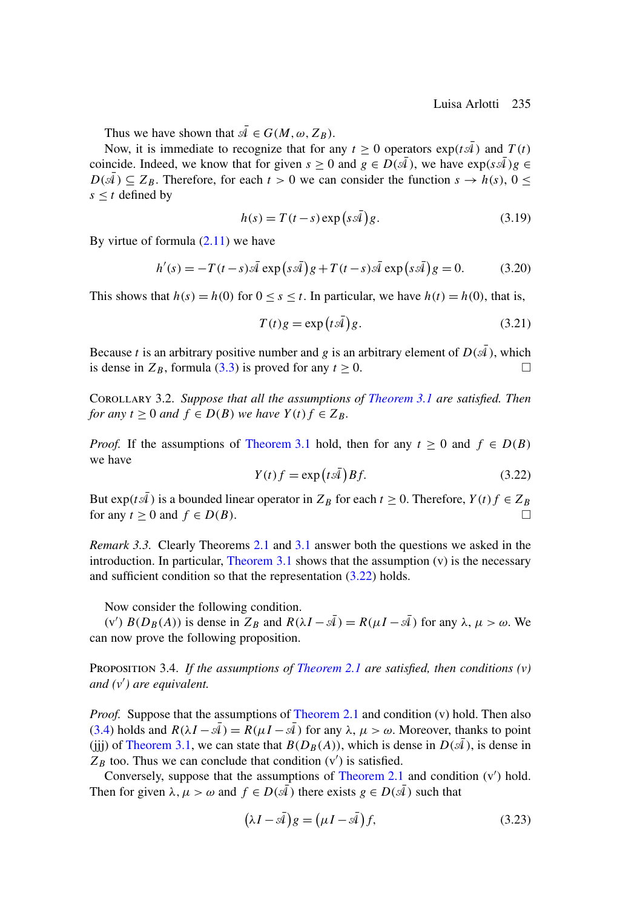<span id="page-8-0"></span>Thus we have shown that  $\overline{A} \in G(M, \omega, Z_B)$ .

Now, it is immediate to recognize that for any  $t > 0$  operators  $\exp(tA)$  and  $T(t)$ coincide. Indeed, we know that for given  $s \ge 0$  and  $g \in D(\bar{A})$ , we have  $\exp(s\bar{A})g \in$  $D(\mathcal{A}) \subseteq Z_B$ . Therefore, for each  $t > 0$  we can consider the function  $s \to h(s)$ ,  $0 \le$  $s \leq t$  defined by

$$
h(s) = T(t-s) \exp\left(s\bar{\mathcal{A}}\right) g. \tag{3.19}
$$

By virtue of formula  $(2.11)$  we have

$$
h'(s) = -T(t-s)\bar{A} \exp(s\bar{A})g + T(t-s)\bar{A} \exp(s\bar{A})g = 0.
$$
 (3.20)

This shows that  $h(s) = h(0)$  for  $0 \le s \le t$ . In particular, we have  $h(t) = h(0)$ , that is,

$$
T(t)g = \exp(t\bar{A})g.
$$
 (3.21)

Because t is an arbitrary positive number and g is an arbitrary element of  $D(\bar{A})$ , which is dense in  $Z_B$ , formula [\(3.3\)](#page-6-0) is proved for any  $t \ge 0$ .

Corollary 3.2. *Suppose that all the assumptions of [Theorem 3.1](#page-6-0) are satisfied. Then for any*  $t > 0$  *and*  $f \in D(B)$  *we have*  $Y(t) f \in Z_B$ .

*Proof.* If the assumptions of [Theorem 3.1](#page-6-0) hold, then for any  $t \ge 0$  and  $f \in D(B)$ we have

$$
Y(t)f = \exp(t\bar{A})Bf.
$$
 (3.22)

But  $\exp(t\bar{A})$  is a bounded linear operator in  $Z_B$  for each  $t \ge 0$ . Therefore,  $Y(t) f \in Z_B$ for any  $t \geq 0$  and  $f \in D(B)$ .

*Remark 3.3.* Clearly Theorems [2.1](#page-2-0) and [3.1](#page-6-0) answer both the questions we asked in the introduction. In particular, Theorem  $3.1$  shows that the assumption  $(v)$  is the necessary and sufficient condition so that the representation (3.22) holds.

Now consider the following condition.

(v')  $B(D_B(A))$  is dense in  $Z_B$  and  $R(\lambda I - \overline{\lambda}) = R(\mu I - \overline{\lambda})$  for any  $\lambda, \mu > \omega$ . We can now prove the following proposition.

Proposition 3.4. *If the assumptions of [Theorem 2.1](#page-2-0) are satisfied, then conditions (v) and (v ) are equivalent.*

*Proof.* Suppose that the assumptions of [Theorem 2.1](#page-2-0) and condition (v) hold. Then also [\(3.4\)](#page-6-0) holds and  $R(\lambda I - \overline{\mathcal{A}}) = R(\mu I - \overline{\mathcal{A}})$  for any  $\lambda, \mu > \omega$ . Moreover, thanks to point (iii) of [Theorem 3.1,](#page-6-0) we can state that  $B(D_B(A))$ , which is dense in  $D(A)$ , is dense in  $Z_B$  too. Thus we can conclude that condition (v') is satisfied.

Conversely, suppose that the assumptions of [Theorem 2.1](#page-2-0) and condition  $(v')$  hold. Then for given  $\lambda, \mu > \omega$  and  $f \in D(\mathcal{A})$  there exists  $g \in D(\mathcal{A})$  such that

$$
(\lambda I - \bar{\mathcal{A}})g = (\mu I - \bar{\mathcal{A}})f,\tag{3.23}
$$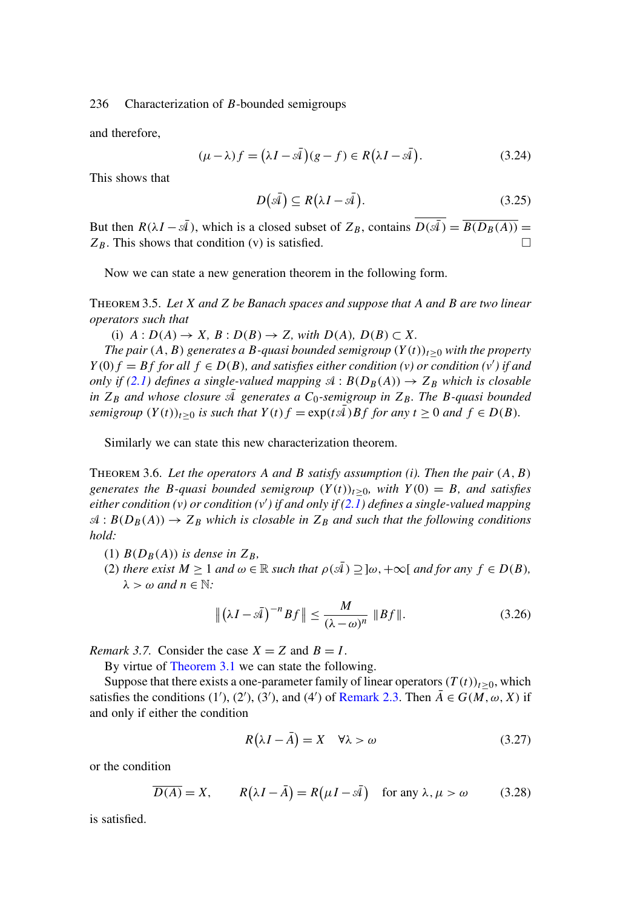<span id="page-9-0"></span>and therefore,

$$
(\mu - \lambda)f = (\lambda I - \bar{\mathcal{A}})(g - f) \in R(\lambda I - \bar{\mathcal{A}}).
$$
 (3.24)

This shows that

$$
D(\bar{\mathcal{A}}) \subseteq R(\lambda I - \bar{\mathcal{A}}). \tag{3.25}
$$

But then  $R(\lambda I - \overline{A})$ , which is a closed subset of  $Z_B$ , contains  $\overline{D(\overline{A})} = \overline{B(D_B(A))} =$  $Z_B$ . This shows that condition (v) is satisfied.  $\square$ 

Now we can state a new generation theorem in the following form.

Theorem 3.5. *Let* X *and* Z *be Banach spaces and suppose that* A *and* B *are two linear operators such that*

(i)  $A: D(A) \rightarrow X, B: D(B) \rightarrow Z$ *, with*  $D(A), D(B) \subset X$ *.* 

*The pair*  $(A, B)$  *generates a B-quasi bounded semigroup*  $(Y(t))_{t\geq0}$  *with the property*  $Y(0) f = Bf$  for all  $f \in D(B)$ , and satisfies either condition (v) or condition (v') if and *only if* [\(2.1\)](#page-2-0) defines a single-valued mapping  $\mathcal{A}: B(D_B(A)) \to Z_B$  which is closable *in*  $Z_B$  *and whose closure*  $\overline{A}$  *generates a*  $C_0$ -semigroup in  $Z_B$ . The B-quasi bounded *semigroup*  $(Y(t))_{t>0}$  *is such that*  $Y(t)f = \exp(t\overline{A})Bf$  *for any*  $t \ge 0$  *and*  $f \in D(B)$ *.* 

Similarly we can state this new characterization theorem.

Theorem 3.6. *Let the operators* A *and* B *satisfy assumption (i). Then the pair* (A,B) *generates the B-quasi bounded semigroup*  $(Y(t))_{t>0}$ *, with*  $Y(0) = B$ *, and satisfies either condition (v) or condition (v ) if and only if [\(2.1\)](#page-2-0) defines a single-valued mapping*  $\mathcal{A}: B(D_B(A)) \to Z_B$  which is closable in  $Z_B$  and such that the following conditions *hold:*

- (1)  $B(D_B(A))$  *is dense in*  $Z_B$ *,*
- (2) *there exist*  $M > 1$  *and*  $\omega \in \mathbb{R}$  *such that*  $\rho(\overline{A}) \supset \alpha, +\infty$  *and for any*  $f \in D(B)$ *,*  $\lambda > \omega$  and  $n \in \mathbb{N}$ :

$$
\left\| \left( \lambda I - s\bar{4} \right)^{-n} Bf \right\| \le \frac{M}{\left( \lambda - \omega \right)^n} \left\| Bf \right\|. \tag{3.26}
$$

*Remark 3.7.* Consider the case  $X = Z$  and  $B = I$ .

By virtue of [Theorem 3.1](#page-6-0) we can state the following.

Suppose that there exists a one-parameter family of linear operators  $(T(t))_{t>0}$ , which satisfies the conditions (1'), (2'), (3'), and (4') of [Remark 2.3.](#page-5-0) Then  $\overline{A} \in G(M, \omega, X)$  if and only if either the condition

$$
R(\lambda I - \bar{A}) = X \quad \forall \lambda > \omega \tag{3.27}
$$

or the condition

$$
\overline{D(A)} = X, \qquad R(\lambda I - \overline{A}) = R(\mu I - \overline{A}) \quad \text{for any } \lambda, \mu > \omega \tag{3.28}
$$

is satisfied.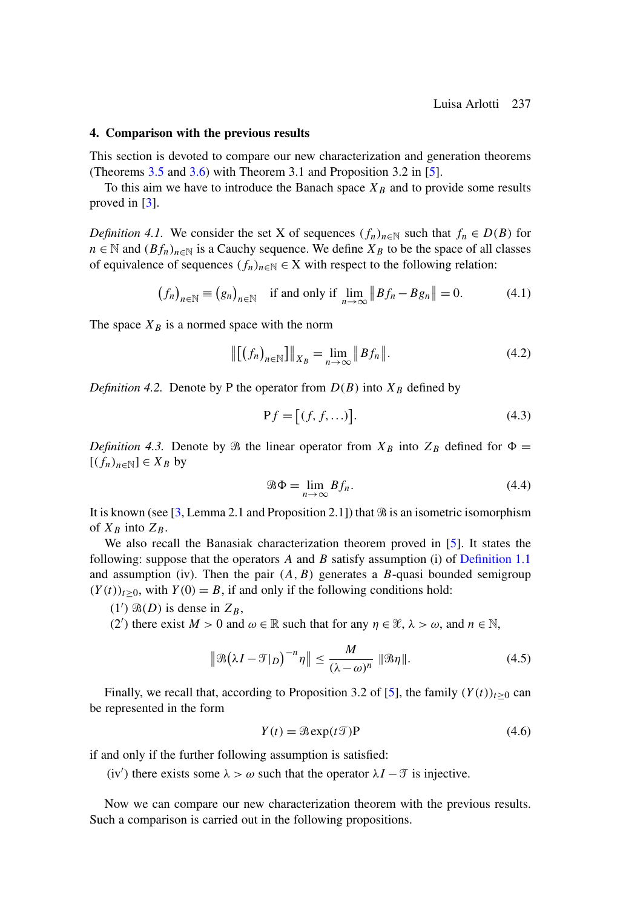## <span id="page-10-0"></span>**4. Comparison with the previous results**

This section is devoted to compare our new characterization and generation theorems (Theorems [3.5](#page-9-0) and [3.6\)](#page-9-0) with Theorem 3.1 and Proposition 3.2 in [\[5\]](#page-15-0).

To this aim we have to introduce the Banach space  $X_B$  and to provide some results proved in [\[3\]](#page-15-0).

*Definition 4.1.* We consider the set X of sequences  $(f_n)_{n\in\mathbb{N}}$  such that  $f_n \in D(B)$  for  $n \in \mathbb{N}$  and  $(Bf_n)_{n \in \mathbb{N}}$  is a Cauchy sequence. We define  $X_B$  to be the space of all classes of equivalence of sequences  $(f_n)_{n\in\mathbb{N}} \in X$  with respect to the following relation:

$$
(f_n)_{n \in \mathbb{N}} \equiv (g_n)_{n \in \mathbb{N}} \quad \text{if and only if } \lim_{n \to \infty} \|Bf_n - Bg_n\| = 0. \tag{4.1}
$$

The space  $X_B$  is a normed space with the norm

$$
\|[(f_n)_{n \in \mathbb{N}}] \|_{X_B} = \lim_{n \to \infty} \|Bf_n\|.
$$
 (4.2)

*Definition 4.2.* Denote by P the operator from  $D(B)$  into  $X_B$  defined by

$$
\mathbf{P}f = [(f, f, \ldots)].\tag{4.3}
$$

*Definition 4.3.* Denote by  $\Re$  the linear operator from  $X_B$  into  $Z_B$  defined for  $\Phi =$  $[(f_n)_{n\in\mathbb{N}}]\in X_B$  by

$$
\mathcal{B}\Phi = \lim_{n \to \infty} Bf_n. \tag{4.4}
$$

It is known (see [\[3,](#page-15-0) Lemma 2.1 and Proposition 2.1]) that  $\Re$  is an isometric isomorphism of  $X_B$  into  $Z_B$ .

We also recall the Banasiak characterization theorem proved in [\[5\]](#page-15-0). It states the following: suppose that the operators  $A$  and  $B$  satisfy assumption (i) of [Definition 1.1](#page-0-0) and assumption (iv). Then the pair  $(A, B)$  generates a B-quasi bounded semigroup  $(Y(t))_{t>0}$ , with  $Y(0) = B$ , if and only if the following conditions hold:

(1')  $\mathfrak{B}(D)$  is dense in  $Z_B$ ,

(2') there exist  $M > 0$  and  $\omega \in \mathbb{R}$  such that for any  $\eta \in \mathcal{X}, \lambda > \omega$ , and  $n \in \mathbb{N}$ ,

$$
\|\mathfrak{B}(\lambda I - \mathfrak{T}|_D)^{-n}\eta\| \le \frac{M}{(\lambda - \omega)^n} \|\mathfrak{B}\eta\|.\tag{4.5}
$$

Finally, we recall that, according to Proposition 3.2 of [\[5\]](#page-15-0), the family  $(Y(t))_{t>0}$  can be represented in the form

$$
Y(t) = \mathcal{B} \exp(t\mathcal{I}) \mathbf{P} \tag{4.6}
$$

if and only if the further following assumption is satisfied:

(iv') there exists some  $\lambda > \omega$  such that the operator  $\lambda I - \mathcal{T}$  is injective.

Now we can compare our new characterization theorem with the previous results. Such a comparison is carried out in the following propositions.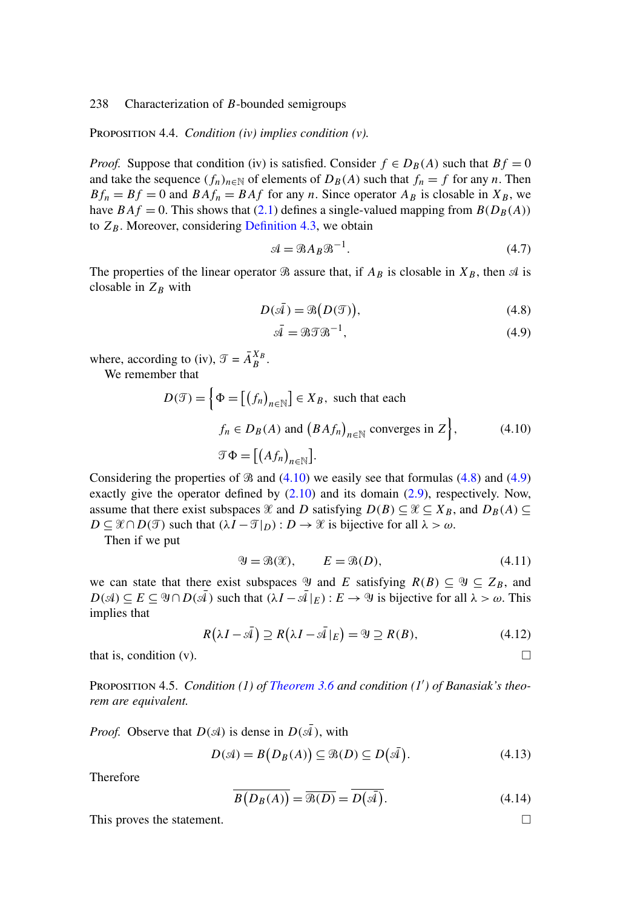<span id="page-11-0"></span>Proposition 4.4. *Condition (iv) implies condition (v).*

*Proof.* Suppose that condition (iv) is satisfied. Consider  $f \in D_B(A)$  such that  $Bf = 0$ and take the sequence  $(f_n)_{n\in\mathbb{N}}$  of elements of  $D_B(A)$  such that  $f_n = f$  for any n. Then  $Bf_n = Bf = 0$  and  $BAf_n = BAf$  for any n. Since operator  $A_B$  is closable in  $X_B$ , we have  $BAf = 0$ . This shows that [\(2.1\)](#page-2-0) defines a single-valued mapping from  $B(D_B(A))$ to  $Z_B$ . Moreover, considering [Definition 4.3,](#page-10-0) we obtain

$$
\mathcal{A} = \mathcal{B}A_B \mathcal{B}^{-1}.
$$
\n(4.7)

The properties of the linear operator  $\Re$  assure that, if  $A_B$  is closable in  $X_B$ , then  $\Im$  is closable in  $Z_B$  with

$$
D(\bar{\mathcal{A}}) = \mathcal{B}(D(\mathcal{T})),\tag{4.8}
$$

$$
\bar{\mathcal{A}} = \mathcal{B}\mathcal{T}\mathcal{B}^{-1},\tag{4.9}
$$

where, according to (iv),  $\mathcal{T} = \overline{A}_{B}^{X_{B}}$ .

We remember that

$$
D(\mathcal{T}) = \left\{ \Phi = \left[ \left( f_n \right)_{n \in \mathbb{N}} \right] \in X_B, \text{ such that each} \right.
$$
  

$$
f_n \in D_B(A) \text{ and } \left( B A f_n \right)_{n \in \mathbb{N}} \text{ converges in } Z \right\},\qquad(4.10)
$$
  

$$
\mathcal{T} \Phi = \left[ \left( A f_n \right)_{n \in \mathbb{N}} \right].
$$

Considering the properties of  $\Re$  and (4.10) we easily see that formulas (4.8) and (4.9) exactly give the operator defined by  $(2.10)$  and its domain  $(2.9)$ , respectively. Now, assume that there exist subspaces  $\mathcal X$  and D satisfying  $D(B) \subseteq \mathcal X \subseteq X_B$ , and  $D_B(A) \subseteq$  $D \subseteq \mathcal{X} \cap D(\mathcal{T})$  such that  $(\lambda I - \mathcal{T}|_D) : D \to \mathcal{X}$  is bijective for all  $\lambda > \omega$ .

Then if we put

$$
\mathcal{Y} = \mathcal{B}(\mathcal{X}), \qquad E = \mathcal{B}(D), \tag{4.11}
$$

we can state that there exist subspaces  $\mathcal Y$  and E satisfying  $R(B) \subseteq \mathcal Y \subseteq Z_B$ , and  $D(\mathcal{A}) \subseteq E \subseteq \mathcal{Y} \cap D(\mathcal{A})$  such that  $(\lambda I - \mathcal{A}|_E) : E \to \mathcal{Y}$  is bijective for all  $\lambda > \omega$ . This implies that

$$
R(\lambda I - \bar{\mathcal{A}}) \supseteq R(\lambda I - \bar{\mathcal{A}}|_E) = \mathcal{Y} \supseteq R(B), \tag{4.12}
$$

that is, condition (v).  $\Box$ 

Proposition 4.5. *Condition (1) of [Theorem 3.6](#page-9-0) and condition (1 ) of Banasiak's theorem are equivalent.*

*Proof.* Observe that  $D(\mathcal{A})$  is dense in  $D(\bar{\mathcal{A}})$ , with

$$
D(\mathcal{A}) = B(D_B(A)) \subseteq \mathcal{B}(D) \subseteq D(\bar{\mathcal{A}}).
$$
\n(4.13)

**Therefore** 

$$
\overline{B(D_B(A))} = \overline{\mathcal{B}(D)} = \overline{D(\overline{\mathcal{A}})}.
$$
\n(4.14)

This proves the statement.  $\Box$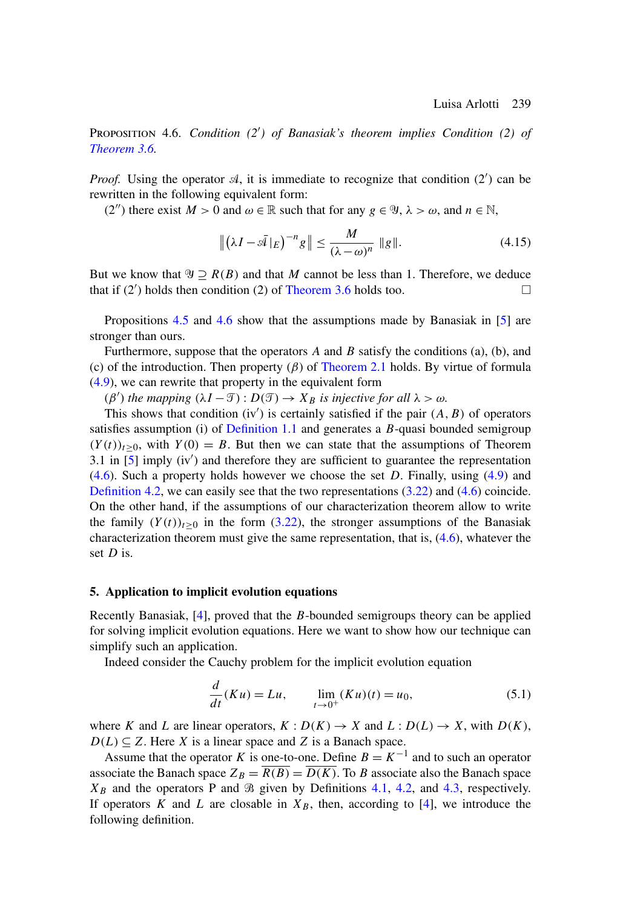<span id="page-12-0"></span>Proposition 4.6. *Condition (2 ) of Banasiak's theorem implies Condition (2) of [Theorem 3.6.](#page-9-0)*

*Proof.* Using the operator  $A$ , it is immediate to recognize that condition  $(2')$  can be rewritten in the following equivalent form:

(2'') there exist  $M > 0$  and  $\omega \in \mathbb{R}$  such that for any  $g \in \mathcal{Y}, \lambda > \omega$ , and  $n \in \mathbb{N}$ ,

$$
\left\| \left( \lambda I - \bar{\mathcal{A}} \left|_{E} \right) - n_{g} \right\| \leq \frac{M}{\left( \lambda - \omega \right)^{n}} \left\| g \right\|. \tag{4.15}
$$

But we know that  $\Psi \supset R(B)$  and that M cannot be less than 1. Therefore, we deduce that if  $(2')$  holds then condition (2) of [Theorem 3.6](#page-9-0) holds too.

Propositions [4.5](#page-11-0) and 4.6 show that the assumptions made by Banasiak in [\[5\]](#page-15-0) are stronger than ours.

Furthermore, suppose that the operators  $A$  and  $B$  satisfy the conditions (a), (b), and (c) of the introduction. Then property  $(\beta)$  of [Theorem 2.1](#page-2-0) holds. By virtue of formula [\(4.9\)](#page-11-0), we can rewrite that property in the equivalent form

 $(\beta')$  *the mapping*  $(\lambda I - \mathcal{T}) : D(\mathcal{T}) \to X_B$  *is injective for all*  $\lambda > \omega$ *.* 

This shows that condition  $(iv')$  is certainly satisfied if the pair  $(A, B)$  of operators satisfies assumption (i) of [Definition 1.1](#page-0-0) and generates a  $B$ -quasi bounded semigroup  $(Y(t))_{t>0}$ , with  $Y(0) = B$ . But then we can state that the assumptions of Theorem 3.1 in  $\overline{[5]}$  $\overline{[5]}$  $\overline{[5]}$  imply (iv') and therefore they are sufficient to guarantee the representation  $(4.6)$ . Such a property holds however we choose the set D. Finally, using  $(4.9)$  and [Definition 4.2,](#page-10-0) we can easily see that the two representations [\(3.22\)](#page-8-0) and [\(4.6\)](#page-10-0) coincide. On the other hand, if the assumptions of our characterization theorem allow to write the family  $(Y(t))_{t>0}$  in the form [\(3.22\)](#page-8-0), the stronger assumptions of the Banasiak characterization theorem must give the same representation, that is, [\(4.6\)](#page-10-0), whatever the set  $D$  is.

## **5. Application to implicit evolution equations**

Recently Banasiak,  $[4]$ , proved that the B-bounded semigroups theory can be applied for solving implicit evolution equations. Here we want to show how our technique can simplify such an application.

Indeed consider the Cauchy problem for the implicit evolution equation

$$
\frac{d}{dt}(Ku) = Lu, \qquad \lim_{t \to 0^+} (Ku)(t) = u_0,\tag{5.1}
$$

where K and L are linear operators,  $K : D(K) \to X$  and  $L : D(L) \to X$ , with  $D(K)$ ,  $D(L) \subseteq Z$ . Here X is a linear space and Z is a Banach space.

Assume that the operator K is one-to-one. Define  $B = K^{-1}$  and to such an operator associate the Banach space  $Z_B = \overline{R(B)} = \overline{D(K)}$ . To B associate also the Banach space  $X_B$  and the operators P and  $\Re$  given by Definitions [4.1,](#page-10-0) [4.2,](#page-10-0) and [4.3,](#page-10-0) respectively. If operators K and L are closable in  $X_B$ , then, according to [\[4\]](#page-15-0), we introduce the following definition.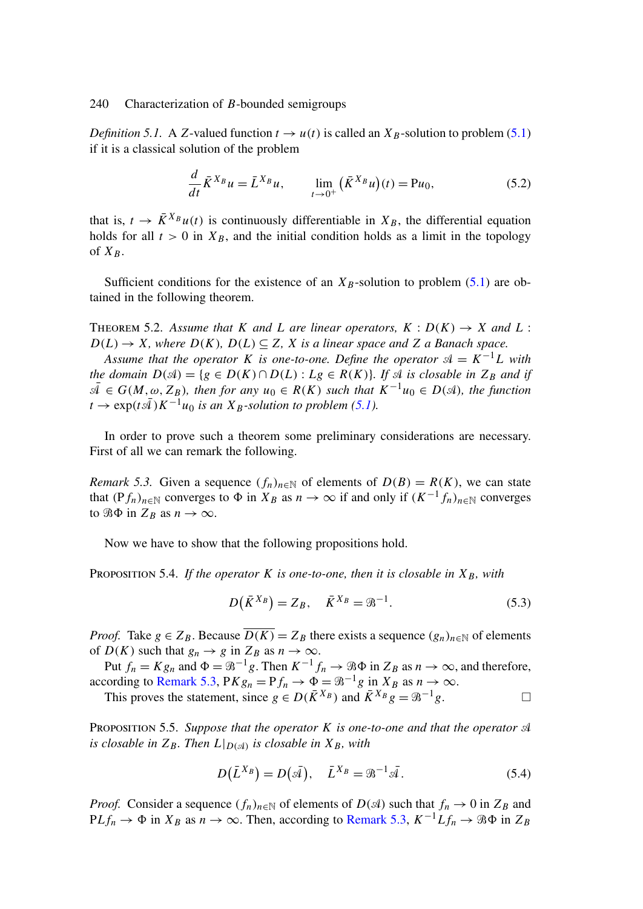<span id="page-13-0"></span>*Definition 5.1.* A Z-valued function  $t \rightarrow u(t)$  is called an  $X_B$ -solution to problem [\(5.1\)](#page-12-0) if it is a classical solution of the problem

$$
\frac{d}{dt}\bar{K}^{X_B}u = \bar{L}^{X_B}u, \qquad \lim_{t \to 0^+} (\bar{K}^{X_B}u)(t) = Pu_0,
$$
\n(5.2)

that is,  $t \to \bar{K}^{X_B} u(t)$  is continuously differentiable in  $X_B$ , the differential equation holds for all  $t > 0$  in  $X_B$ , and the initial condition holds as a limit in the topology of  $X_B$ .

Sufficient conditions for the existence of an  $X_B$ -solution to problem [\(5.1\)](#page-12-0) are obtained in the following theorem.

THEOREM 5.2. Assume that K and L are linear operators,  $K : D(K) \to X$  and L:  $D(L) \rightarrow X$ *, where*  $D(K)$ *,*  $D(L) \subseteq Z$ *, X is a linear space and* Z *a Banach space.* 

*Assume that the operator* K *is one-to-one. Define the operator*  $\mathcal{A} = K^{-1}L$  *with the domain*  $D(\mathcal{A}) = \{g \in D(K) \cap D(L) : Lg \in R(K)\}\$ . If  $\mathcal{A}$  is closable in  $Z_B$  *and if*  $\overline{\mathcal{A}}$  ∈ G(M,  $\omega$ , Z<sub>B</sub>), then for any  $u_0 \in R(K)$  such that  $K^{-1}u_0 \in D(\mathcal{A})$ , the function  $t \rightarrow \exp(t\bar{A})K^{-1}u_0$  *is an*  $X_B$ -solution to problem [\(5.1\)](#page-12-0).

In order to prove such a theorem some preliminary considerations are necessary. First of all we can remark the following.

*Remark 5.3.* Given a sequence  $(f_n)_{n\in\mathbb{N}}$  of elements of  $D(B) = R(K)$ , we can state that  $(Pf_n)_{n \in \mathbb{N}}$  converges to  $\Phi$  in  $X_B$  as  $n \to \infty$  if and only if  $(K^{-1}f_n)_{n \in \mathbb{N}}$  converges to  $\Re \Phi$  in  $Z_B$  as  $n \to \infty$ .

Now we have to show that the following propositions hold.

PROPOSITION 5.4. *If the operator* K *is one-to-one, then it is closable in*  $X_B$ *, with* 

$$
D(\bar{K}^{X_B}) = Z_B, \quad \bar{K}^{X_B} = \mathcal{B}^{-1}.
$$

*Proof.* Take  $g \in Z_B$ . Because  $\overline{D(K)} = Z_B$  there exists a sequence  $(g_n)_{n \in \mathbb{N}}$  of elements of  $D(K)$  such that  $g_n \to g$  in  $Z_B$  as  $n \to \infty$ .

Put  $f_n = Kg_n$  and  $\Phi = \mathcal{B}^{-1}g$ . Then  $K^{-1}f_n \to \mathcal{B}\Phi$  in  $Z_B$  as  $n \to \infty$ , and therefore, according to Remark 5.3,  $PKg_n = Pf_n \rightarrow \Phi = \mathcal{B}^{-1}g$  in  $X_B$  as  $n \rightarrow \infty$ .

This proves the statement, since  $g \in D(\overline{K}^{X_B})$  and  $\overline{K}^{X_B}g = \mathcal{B}^{-1}g$ .

Proposition 5.5. *Suppose that the operator* K *is one-to-one and that the operator is closable in*  $Z_B$ *. Then*  $L|_{D(\mathcal{A})}$  *is closable in*  $X_B$ *, with* 

$$
D(\bar{L}^{X_B}) = D(\bar{\mathcal{A}}), \quad \bar{L}^{X_B} = \mathcal{B}^{-1}\bar{\mathcal{A}}.
$$
 (5.4)

*Proof.* Consider a sequence  $(f_n)_{n\in\mathbb{N}}$  of elements of  $D(\mathcal{A})$  such that  $f_n \to 0$  in  $Z_B$  and  $PLf_n \to \Phi$  in  $X_B$  as  $n \to \infty$ . Then, according to Remark 5.3,  $K^{-1}Lf_n \to \Re \Phi$  in  $Z_B$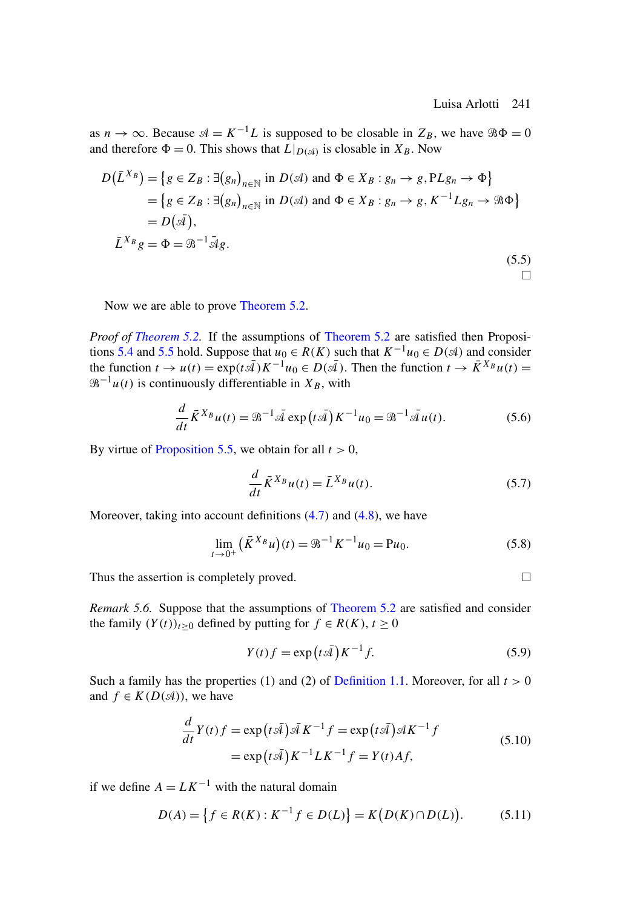as  $n \to \infty$ . Because  $\mathcal{A} = K^{-1}L$  is supposed to be closable in  $Z_B$ , we have  $\mathcal{B}\Phi = 0$ and therefore  $\Phi = 0$ . This shows that  $L|_{D(\mathcal{A})}$  is closable in  $X_B$ . Now

$$
D(\overline{L}^{X_B}) = \{ g \in Z_B : \exists (g_n)_{n \in \mathbb{N}} \text{ in } D(\mathcal{A}) \text{ and } \Phi \in X_B : g_n \to g, PLg_n \to \Phi \}
$$
  
=  $\{ g \in Z_B : \exists (g_n)_{n \in \mathbb{N}} \text{ in } D(\mathcal{A}) \text{ and } \Phi \in X_B : g_n \to g, K^{-1}Lg_n \to \mathcal{B}\Phi \}$   
=  $D(\overline{\mathcal{A}}),$   
 $\overline{L}^{X_B}g = \Phi = \mathcal{B}^{-1}\overline{\mathcal{A}}g.$  (5.5)

Now we are able to prove [Theorem 5.2.](#page-13-0)

*Proof of [Theorem 5.2.](#page-13-0)* If the assumptions of [Theorem 5.2](#page-13-0) are satisfied then Proposi-tions [5.4](#page-13-0) and [5.5](#page-13-0) hold. Suppose that  $u_0 \in R(K)$  such that  $K^{-1}u_0 \in D(\mathcal{A})$  and consider the function  $t \to u(t) = \exp(t\bar{A})K^{-1}u_0 \in D(\bar{A})$ . Then the function  $t \to \bar{K}^{X_B}u(t) =$  $\mathcal{B}^{-1}u(t)$  is continuously differentiable in  $X_B$ , with

$$
\frac{d}{dt}\bar{K}^{X_B}u(t) = \mathcal{B}^{-1}\bar{\mathcal{A}}\exp(t\bar{\mathcal{A}})K^{-1}u_0 = \mathcal{B}^{-1}\bar{\mathcal{A}}u(t).
$$
 (5.6)

By virtue of [Proposition 5.5,](#page-13-0) we obtain for all  $t > 0$ ,

$$
\frac{d}{dt}\bar{K}^{X_B}u(t) = \bar{L}^{X_B}u(t).
$$
\n(5.7)

Moreover, taking into account definitions [\(4.7\)](#page-11-0) and [\(4.8\)](#page-11-0), we have

$$
\lim_{t \to 0^+} (\bar{K}^{X_B} u)(t) = \mathcal{B}^{-1} K^{-1} u_0 = \mathcal{P} u_0.
$$
\n(5.8)

Thus the assertion is completely proved.

*Remark 5.6.* Suppose that the assumptions of [Theorem 5.2](#page-13-0) are satisfied and consider the family  $(Y(t))_{t>0}$  defined by putting for  $f \in R(K)$ ,  $t \ge 0$ 

$$
Y(t)f = \exp(t\bar{A})K^{-1}f.
$$
\n(5.9)

Such a family has the properties (1) and (2) of [Definition 1.1.](#page-0-0) Moreover, for all  $t > 0$ and  $f \in K(D(\mathcal{A}))$ , we have

$$
\frac{d}{dt}Y(t)f = \exp(t\bar{A})\bar{A}K^{-1}f = \exp(t\bar{A})\bar{A}K^{-1}f
$$
  
=  $\exp(t\bar{A})K^{-1}LK^{-1}f = Y(t)Af,$  (5.10)

if we define  $A = L K^{-1}$  with the natural domain

$$
D(A) = \left\{ f \in R(K) : K^{-1} f \in D(L) \right\} = K(D(K) \cap D(L)). \tag{5.11}
$$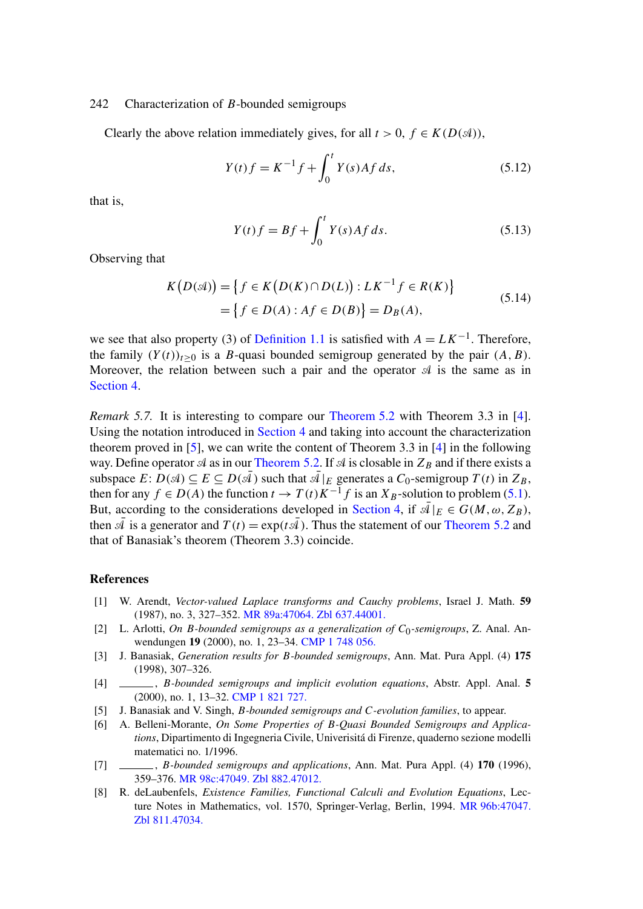<span id="page-15-0"></span>Clearly the above relation immediately gives, for all  $t > 0$ ,  $f \in K(D(\mathcal{A}))$ ,

$$
Y(t)f = K^{-1}f + \int_0^t Y(s)Af\,ds,\tag{5.12}
$$

that is,

$$
Y(t)f = Bf + \int_0^t Y(s)Af \, ds. \tag{5.13}
$$

Observing that

$$
K(D(A)) = \{ f \in K(D(K) \cap D(L)) : L K^{-1} f \in R(K) \}
$$
  
=  $\{ f \in D(A) : Af \in D(B) \} = D_B(A),$  (5.14)

we see that also property (3) of [Definition 1.1](#page-0-0) is satisfied with  $A = LK^{-1}$ . Therefore, the family  $(Y(t))_{t\geq 0}$  is a B-quasi bounded semigroup generated by the pair  $(A, B)$ . Moreover, the relation between such a pair and the operator  $\mathcal A$  is the same as in [Section 4.](#page-10-0)

*Remark 5.7.* It is interesting to compare our [Theorem 5.2](#page-13-0) with Theorem 3.3 in [4]. Using the notation introduced in [Section 4](#page-10-0) and taking into account the characterization theorem proved in [5], we can write the content of Theorem 3.3 in [4] in the following way. Define operator  $\mathcal A$  as in our [Theorem 5.2.](#page-13-0) If  $\mathcal A$  is closable in  $Z_B$  and if there exists a subspace  $E: D(\mathcal{A}) \subseteq E \subseteq D(\mathcal{A})$  such that  $\mathcal{A}|_E$  generates a  $C_0$ -semigroup  $T(t)$  in  $Z_B$ , then for any  $f \in D(A)$  the function  $t \to T(t)K^{-1}f$  is an  $X_B$ -solution to problem [\(5.1\)](#page-12-0). But, according to the considerations developed in [Section 4,](#page-10-0) if  $\overline{\mathcal{A}}|_E \in G(M, \omega, Z_B)$ , then  $\overline{A}$  is a generator and  $T(t) = \exp(t\overline{A})$ . Thus the statement of our [Theorem 5.2](#page-13-0) and that of Banasiak's theorem (Theorem 3.3) coincide.

## **References**

- [1] W. Arendt, *Vector-valued Laplace transforms and Cauchy problems*, Israel J. Math. **59** (1987), no. 3, 327–352. [MR 89a:47064.](http://www.ams.org/mathscinet-getitem?mr=89a:47064) [Zbl 637.44001.](http://www.emis.de/cgi-bin/MATH-item?637.44001)
- [2] L. Arlotti, *On B-bounded semigroups as a generalization of*  $C_0$ -semigroups, Z. Anal. Anwendungen **19** (2000), no. 1, 23–34. [CMP 1 748 056.](http://www.ams.org/mathscinet-getitem?mr=1+748+056)
- [3] J. Banasiak, *Generation results for* B*-bounded semigroups*, Ann. Mat. Pura Appl. (4) **175** (1998), 307–326.
- [4] , B*-bounded semigroups and implicit evolution equations*, Abstr. Appl. Anal. **5** (2000), no. 1, 13–32. [CMP 1 821 727.](http://www.ams.org/mathscinet-getitem?mr=1+821+727)
- [5] J. Banasiak and V. Singh, B*-bounded semigroups and* C*-evolution families*, to appear.
- [6] A. Belleni-Morante, *On Some Properties of* B*-Quasi Bounded Semigroups and Applications*, Dipartimento di Ingegneria Civile, Univerisitá di Firenze, quaderno sezione modelli matematici no. 1/1996.
- [7] , B*-bounded semigroups and applications*, Ann. Mat. Pura Appl. (4) **170** (1996), 359–376. [MR 98c:47049.](http://www.ams.org/mathscinet-getitem?mr=98c:47049) [Zbl 882.47012.](http://www.emis.de/cgi-bin/MATH-item?882.47012)
- [8] R. deLaubenfels, *Existence Families, Functional Calculi and Evolution Equations*, Lec-ture Notes in Mathematics, vol. 1570, Springer-Verlag, Berlin, 1994. [MR 96b:47047.](http://www.ams.org/mathscinet-getitem?mr=96b:47047) [Zbl 811.47034.](http://www.emis.de/cgi-bin/MATH-item?811.47034)